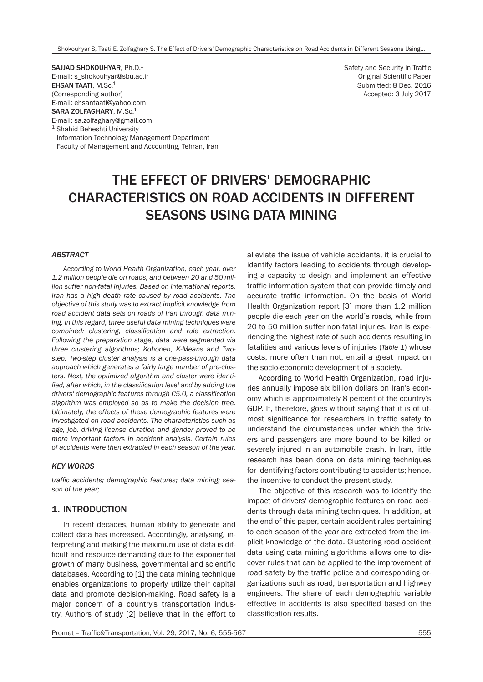Shokouhyar S, Taati E, Zolfaghary S. The Effect of Drivers' Demographic Characteristics on Road Accidents in Different Seasons Using...

SAJJAD SHOKOUHYAR, Ph.D.<sup>1</sup> E-mail: s\_shokouhyar@sbu.ac.ir EHSAN TAATI, M.Sc.<sup>1</sup> (Corresponding author) E-mail: ehsantaati@yahoo.com SARA ZOLFAGHARY, M.Sc.<sup>1</sup> E-mail: sa.zolfaghary@gmail.com <sup>1</sup> Shahid Beheshti University

Safety and Security in Traffic Original Scientifc Paper Submitted: 8 Dec. 2016 Accepted: 3 July 2017

# Information Technology Management Department Faculty of Management and Accounting, Tehran, Iran

# THE EFFECT OF DRIVERS' DEMOGRAPHIC CHARACTERISTICS ON ROAD ACCIDENTS IN DIFFERENT SEASONS USING DATA MINING

#### *ABSTRACT*

*According to World Health Organization, each year, over 1.2 million people die on roads, and between 20 and 50 million suffer non-fatal injuries. Based on international reports, Iran has a high death rate caused by road accidents. The objective of this study was to extract implicit knowledge from road accident data sets on roads of Iran through data mining. In this regard, three useful data mining techniques were combined: clustering, classifcation and rule extraction. Following the preparation stage, data were segmented via three clustering algorithms; Kohonen, K-Means and Twostep. Two-step cluster analysis is a one-pass-through data approach which generates a fairly large number of pre-clusters. Next, the optimized algorithm and cluster were identifed, after which, in the classifcation level and by adding the drivers' demographic features through C5.0, a classifcation algorithm was employed so as to make the decision tree. Ultimately, the effects of these demographic features were investigated on road accidents. The characteristics such as age, job, driving license duration and gender proved to be more important factors in accident analysis. Certain rules of accidents were then extracted in each season of the year.*

#### *KEY WORDS*

*traffc accidents; demographic features; data mining; season of the year;*

## 1. INTRODUCTION

In recent decades, human ability to generate and collect data has increased. Accordingly, analysing, interpreting and making the maximum use of data is diffcult and resource-demanding due to the exponential growth of many business, governmental and scientifc databases. According to [1] the data mining technique enables organizations to properly utilize their capital data and promote decision-making. Road safety is a major concern of a country's transportation industry. Authors of study [2] believe that in the effort to alleviate the issue of vehicle accidents, it is crucial to identify factors leading to accidents through developing a capacity to design and implement an effective traffic information system that can provide timely and accurate traffic information. On the basis of World Health Organization report [3] more than 1.2 million people die each year on the world's roads, while from 20 to 50 million suffer non-fatal injuries. Iran is experiencing the highest rate of such accidents resulting in fatalities and various levels of injuries (*Table 1*) whose costs, more often than not, entail a great impact on the socio-economic development of a society.

According to World Health Organization, road injuries annually impose six billion dollars on Iran's economy which is approximately 8 percent of the country's GDP. It, therefore, goes without saying that it is of utmost significance for researchers in traffic safety to understand the circumstances under which the drivers and passengers are more bound to be killed or severely injured in an automobile crash. In Iran, little research has been done on data mining techniques for identifying factors contributing to accidents; hence, the incentive to conduct the present study.

The objective of this research was to identify the impact of drivers' demographic features on road accidents through data mining techniques. In addition, at the end of this paper, certain accident rules pertaining to each season of the year are extracted from the implicit knowledge of the data. Clustering road accident data using data mining algorithms allows one to discover rules that can be applied to the improvement of road safety by the traffic police and corresponding organizations such as road, transportation and highway engineers. The share of each demographic variable effective in accidents is also specifed based on the classification results.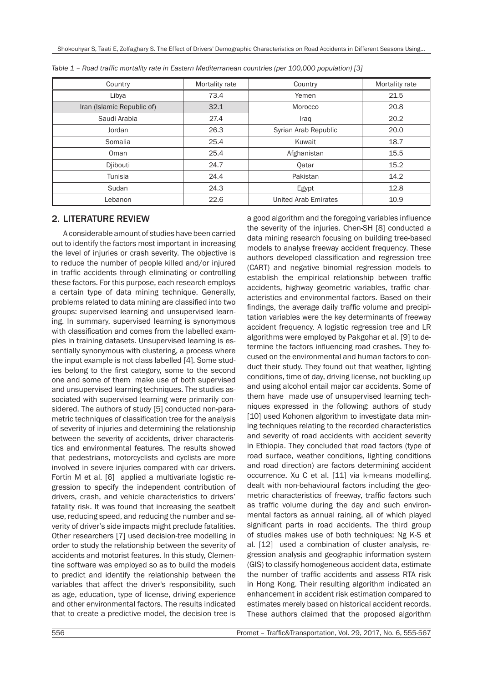| Country                    | Mortality rate | Country                     | Mortality rate |
|----------------------------|----------------|-----------------------------|----------------|
| Libya                      | 73.4           | Yemen                       | 21.5           |
| Iran (Islamic Republic of) | 32.1           | Morocco                     | 20.8           |
| Saudi Arabia               | 27.4           | Iraq                        | 20.2           |
| Jordan                     | 26.3           | Syrian Arab Republic        | 20.0           |
| Somalia                    | 25.4           | Kuwait                      | 18.7           |
| Oman                       | 25.4           | Afghanistan                 | 15.5           |
| Diibouti                   | 24.7           | Oatar                       | 15.2           |
| Tunisia                    | 24.4           | Pakistan                    | 14.2           |
| Sudan                      | 24.3           | Egypt                       | 12.8           |
| Lebanon                    | 22.6           | <b>United Arab Emirates</b> | 10.9           |

*Table 1 – Road traffc mortality rate in Eastern Mediterranean countries (per 100,000 population) [3]*

## 2. LITERATURE REVIEW

A considerable amount of studies have been carried out to identify the factors most important in increasing the level of injuries or crash severity. The objective is to reduce the number of people killed and/or injured in traffic accidents through eliminating or controlling these factors. For this purpose, each research employs a certain type of data mining technique. Generally, problems related to data mining are classifed into two groups: supervised learning and unsupervised learning. In summary, supervised learning is synonymous with classification and comes from the labelled examples in training datasets. Unsupervised learning is essentially synonymous with clustering, a process where the input example is not class labelled [4]. Some studies belong to the frst category, some to the second one and some of them make use of both supervised and unsupervised learning techniques. The studies associated with supervised learning were primarily considered. The authors of study [5] conducted non-parametric techniques of classifcation tree for the analysis of severity of injuries and determining the relationship between the severity of accidents, driver characteristics and environmental features. The results showed that pedestrians, motorcyclists and cyclists are more involved in severe injuries compared with car drivers. Fortin M et al. [6] applied a multivariate logistic regression to specify the independent contribution of drivers, crash, and vehicle characteristics to drivers' fatality risk. It was found that increasing the seatbelt use, reducing speed, and reducing the number and severity of driver's side impacts might preclude fatalities. Other researchers [7] used decision-tree modelling in order to study the relationship between the severity of accidents and motorist features. In this study, Clementine software was employed so as to build the models to predict and identify the relationship between the variables that affect the driver's responsibility, such as age, education, type of license, driving experience and other environmental factors. The results indicated that to create a predictive model, the decision tree is

a good algorithm and the foregoing variables infuence the severity of the injuries. Chen-SH [8] conducted a data mining research focusing on building tree-based models to analyse freeway accident frequency. These authors developed classifcation and regression tree (CART) and negative binomial regression models to establish the empirical relationship between traffic accidents, highway geometric variables, traffic characteristics and environmental factors. Based on their findings, the average daily traffic volume and precipitation variables were the key determinants of freeway accident frequency. A logistic regression tree and LR algorithms were employed by Pakgohar et al. [9] to determine the factors infuencing road crashes. They focused on the environmental and human factors to conduct their study. They found out that weather, lighting conditions, time of day, driving license, not buckling up and using alcohol entail major car accidents. Some of them have made use of unsupervised learning techniques expressed in the following: authors of study [10] used Kohonen algorithm to investigate data mining techniques relating to the recorded characteristics and severity of road accidents with accident severity in Ethiopia. They concluded that road factors (type of road surface, weather conditions, lighting conditions and road direction) are factors determining accident occurrence. Xu C et al. [11] via k-means modelling, dealt with non-behavioural factors including the geometric characteristics of freeway, traffic factors such as traffic volume during the day and such environmental factors as annual raining, all of which played significant parts in road accidents. The third group of studies makes use of both techniques: Ng K-S et al. [12] used a combination of cluster analysis, regression analysis and geographic information system (GIS) to classify homogeneous accident data, estimate the number of traffic accidents and assess RTA risk in Hong Kong. Their resulting algorithm indicated an enhancement in accident risk estimation compared to estimates merely based on historical accident records. These authors claimed that the proposed algorithm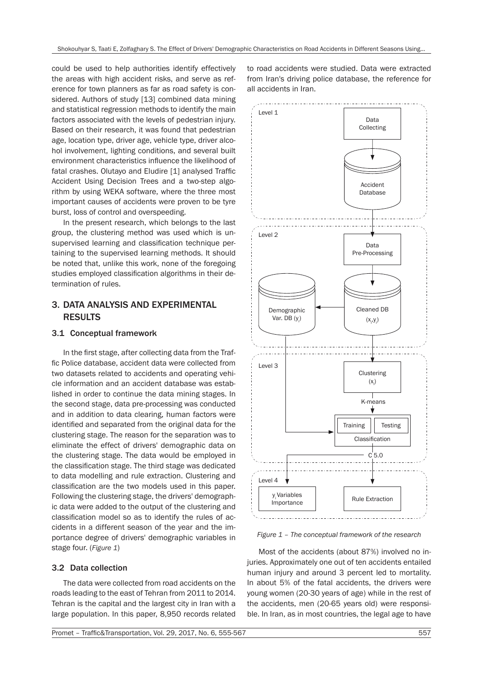could be used to help authorities identify effectively the areas with high accident risks, and serve as reference for town planners as far as road safety is considered. Authors of study [13] combined data mining and statistical regression methods to identify the main factors associated with the levels of pedestrian injury. Based on their research, it was found that pedestrian age, location type, driver age, vehicle type, driver alcohol involvement, lighting conditions, and several built environment characteristics infuence the likelihood of fatal crashes. Olutayo and Eludire [1] analysed Traffic Accident Using Decision Trees and a two-step algorithm by using WEKA software, where the three most important causes of accidents were proven to be tyre burst, loss of control and overspeeding.

In the present research, which belongs to the last group, the clustering method was used which is unsupervised learning and classifcation technique pertaining to the supervised learning methods. It should be noted that, unlike this work, none of the foregoing studies employed classifcation algorithms in their determination of rules.

## 3. DATA ANALYSIS AND EXPERIMENTAL RESULTS

#### 3.1 Conceptual framework

In the frst stage, after collecting data from the Traffic Police database, accident data were collected from two datasets related to accidents and operating vehicle information and an accident database was established in order to continue the data mining stages. In the second stage, data pre-processing was conducted and in addition to data clearing, human factors were identifed and separated from the original data for the clustering stage. The reason for the separation was to eliminate the effect of drivers' demographic data on the clustering stage. The data would be employed in the classifcation stage. The third stage was dedicated to data modelling and rule extraction. Clustering and classifcation are the two models used in this paper. Following the clustering stage, the drivers' demographic data were added to the output of the clustering and classifcation model so as to identify the rules of accidents in a different season of the year and the importance degree of drivers' demographic variables in stage four. (*Figure 1*)

## 3.2 Data collection

The data were collected from road accidents on the roads leading to the east of Tehran from 2011 to 2014. Tehran is the capital and the largest city in Iran with a large population. In this paper, 8,950 records related to road accidents were studied. Data were extracted from Iran's driving police database, the reference for all accidents in Iran.



*Figure 1 – The conceptual framework of the research*

Most of the accidents (about 87%) involved no injuries. Approximately one out of ten accidents entailed human injury and around 3 percent led to mortality. In about 5% of the fatal accidents, the drivers were young women (20-30 years of age) while in the rest of the accidents, men (20-65 years old) were responsible. In Iran, as in most countries, the legal age to have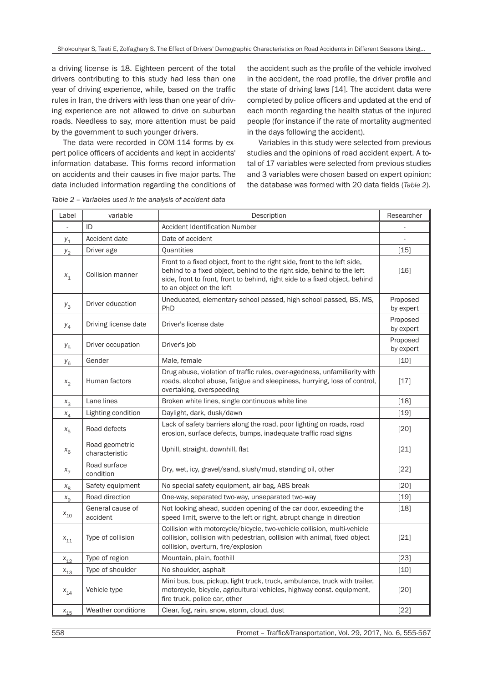a driving license is 18. Eighteen percent of the total drivers contributing to this study had less than one year of driving experience, while, based on the traffic rules in Iran, the drivers with less than one year of driving experience are not allowed to drive on suburban roads. Needless to say, more attention must be paid by the government to such younger drivers.

The data were recorded in COM-114 forms by expert police officers of accidents and kept in accidents' information database. This forms record information on accidents and their causes in fve major parts. The data included information regarding the conditions of the accident such as the profle of the vehicle involved in the accident, the road profle, the driver profle and the state of driving laws [14]. The accident data were completed by police officers and updated at the end of each month regarding the health status of the injured people (for instance if the rate of mortality augmented in the days following the accident).

Variables in this study were selected from previous studies and the opinions of road accident expert. A total of 17 variables were selected from previous studies and 3 variables were chosen based on expert opinion; the database was formed with 20 data felds (*Table 2*).

| Label                      | variable                         | Description                                                                                                                                                                                                                                                    | Researcher            |
|----------------------------|----------------------------------|----------------------------------------------------------------------------------------------------------------------------------------------------------------------------------------------------------------------------------------------------------------|-----------------------|
|                            | ID                               | <b>Accident Identification Number</b>                                                                                                                                                                                                                          |                       |
| $y_1$                      | Accident date                    | Date of accident                                                                                                                                                                                                                                               |                       |
| $y_2$                      | Driver age                       | <b>Quantities</b>                                                                                                                                                                                                                                              | [15]                  |
| $x_1$                      | <b>Collision manner</b>          | Front to a fixed object, front to the right side, front to the left side,<br>behind to a fixed object, behind to the right side, behind to the left<br>side, front to front, front to behind, right side to a fixed object, behind<br>to an object on the left | [16]                  |
| $y_3$                      | Driver education                 | Uneducated, elementary school passed, high school passed, BS, MS,<br>PhD                                                                                                                                                                                       | Proposed<br>by expert |
| ${\cal Y}_4$               | Driving license date             | Driver's license date                                                                                                                                                                                                                                          | Proposed<br>by expert |
| $y_{5}$                    | Driver occupation                | Driver's job                                                                                                                                                                                                                                                   | Proposed<br>by expert |
| $y_{6}$                    | Gender                           | Male, female                                                                                                                                                                                                                                                   | $[10]$                |
| $x_2$                      | Human factors                    | Drug abuse, violation of traffic rules, over-agedness, unfamiliarity with<br>roads, alcohol abuse, fatigue and sleepiness, hurrying, loss of control,<br>overtaking, overspeeding                                                                              | [17]                  |
| $X_3$                      | Lane lines                       | Broken white lines, single continuous white line                                                                                                                                                                                                               | [18]                  |
| $X_4$                      | Lighting condition               | Daylight, dark, dusk/dawn                                                                                                                                                                                                                                      | $[19]$                |
| $x_{5}$                    | Road defects                     | Lack of safety barriers along the road, poor lighting on roads, road<br>erosion, surface defects, bumps, inadequate traffic road signs                                                                                                                         | $[20]$                |
| $X_6$                      | Road geometric<br>characteristic | Uphill, straight, downhill, flat                                                                                                                                                                                                                               | $[21]$                |
| $x_7$                      | Road surface<br>condition        | Dry, wet, icy, gravel/sand, slush/mud, standing oil, other                                                                                                                                                                                                     | $[22]$                |
| $x_{8}$                    | Safety equipment                 | No special safety equipment, air bag, ABS break                                                                                                                                                                                                                | $[20]$                |
| $x_{9}$                    | Road direction                   | One-way, separated two-way, unseparated two-way                                                                                                                                                                                                                | $[19]$                |
| $x_{10}$                   | General cause of<br>accident     | Not looking ahead, sudden opening of the car door, exceeding the<br>speed limit, swerve to the left or right, abrupt change in direction                                                                                                                       | $[18]$                |
| $x_{\mathtt{1}\mathtt{1}}$ | Type of collision                | Collision with motorcycle/bicycle, two-vehicle collision, multi-vehicle<br>collision, collision with pedestrian, collision with animal, fixed object<br>collision, overturn, fire/explosion                                                                    | [21]                  |
| $x_{12}$                   | Type of region                   | Mountain, plain, foothill                                                                                                                                                                                                                                      | $[23]$                |
| $x_{13}$                   | Type of shoulder                 | No shoulder, asphalt                                                                                                                                                                                                                                           | $[10]$                |
| $x_{14}$                   | Vehicle type                     | Mini bus, bus, pickup, light truck, truck, ambulance, truck with trailer,<br>motorcycle, bicycle, agricultural vehicles, highway const. equipment,<br>fire truck, police car, other                                                                            | $[20]$                |
| $x_{15}$                   | Weather conditions               | Clear, fog, rain, snow, storm, cloud, dust                                                                                                                                                                                                                     | $[22]$                |

*Table 2 – Variables used in the analysis of accident data*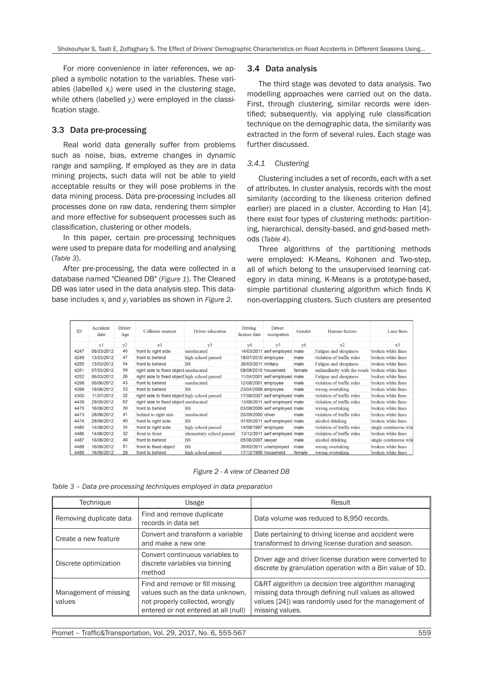For more convenience in later references, we applied a symbolic notation to the variables. These variables (labelled *xi* ) were used in the clustering stage, while others (labelled *yi* ) were employed in the classification stage.

## 3.3 Data pre-processing

Real world data generally suffer from problems such as noise, bias, extreme changes in dynamic range and sampling. If employed as they are in data mining projects, such data will not be able to yield acceptable results or they will pose problems in the data mining process. Data pre-processing includes all processes done on raw data, rendering them simpler and more effective for subsequent processes such as classifcation, clustering or other models.

In this paper, certain pre-processing techniques were used to prepare data for modelling and analysing (*Table 3*).

After pre-processing, the data were collected in a database named "Cleaned DB" (*Figure 1*). The Cleaned DB was later used in the data analysis step. This database includes *xi* and *yi* variables as shown in *Figure 2*.

#### 3.4 Data analysis

The third stage was devoted to data analysis. Two modelling approaches were carried out on the data. First, through clustering, similar records were identifed; subsequently, via applying rule classifcation technique on the demographic data, the similarity was extracted in the form of several rules. Each stage was further discussed.

#### *3.4.1 Clustering*

Clustering includes a set of records, each with a set of attributes. In cluster analysis, records with the most similarity (according to the likeness criterion defned earlier) are placed in a cluster. According to Han [4], there exist four types of clustering methods: partitioning, hierarchical, density-based, and grid-based methods (*Table 4*).

Three algorithms of the partitioning methods were employed: K-Means, Kohonen and Two-step, all of which belong to the unsupervised learning category in data mining. K-Means is a prototype-based, simple partitional clustering algorithm which finds K non-overlapping clusters. Such clusters are presented

| ID   | Accident<br>date | Driver<br>Age | Collision manner                              | Driver education         | Driving<br>license date | Driver<br>occupation          | Gender | Human factors                                   | Lane lines            |
|------|------------------|---------------|-----------------------------------------------|--------------------------|-------------------------|-------------------------------|--------|-------------------------------------------------|-----------------------|
|      | y1               | y2            | x1                                            | V <sub>3</sub>           | V <sub>4</sub>          | v5                            | y6     | x2                                              | x <sub>3</sub>        |
| 4247 | 06/03/2012       | 45            | front to right side                           | uneducated               |                         | 14/03/2011 self employed      | male   | Fatigue and sleepiness                          | broken white lines    |
| 4249 | 13/03/2012       | 47            | front to behind                               | high school passed       | 18/07/2010 employee     |                               | male   | violation of traffic rules                      | broken white lines    |
| 4250 | 13/03/2012       | 54            | front to behind                               | <b>BS</b>                | 26/03/2011 military     |                               | male   | Fatigue and sleepiness                          | broken white lines    |
| 4251 | 07/03/2012       | 59            | right side to fixed object uneducated         |                          | 08/08/2010 househeld    |                               | female | unfamiliarity with the roads broken white lines |                       |
| 4252 | 06/03/2012       | 26            | right side to fixed object high school passed |                          |                         | 11/04/2001 self employed      | male   | Fatigue and sleepiness                          | broken white lines    |
| 4298 | 06/06/2012       | 43            | front to behind                               | uneducated               | 12/08/2001 employee     |                               | male   | violation of traffic rules                      | broken white lines    |
| 4299 | 19/06/2012       | 33            | front to behind                               | <b>BS</b>                | 23/04/2009 employee     |                               | male   | wrong overtaking                                | broken white lines    |
| 4300 | 11/07/2012       | 32            | right side to fixed object high school passed |                          |                         | 17/08/2007 self employed male |        | violation of traffic rules                      | broken white lines    |
| 4439 | 29/05/2012       | 62            | right side to fixed object uneducated         |                          |                         | 13/06/2011 self employed male |        | violation of traffic rules                      | broken white lines    |
| 4470 | 16/06/2012       | 30            | front to behind                               | <b>BS</b>                |                         | 03/08/2009 self employed male |        | wrong overtaking                                | broken white lines    |
| 4473 | 28/06/2012       | 41            | behind to right side                          | uneducated               | 20/09/2000 driver       |                               | male   | violation of traffic rules                      | broken white lines    |
| 4474 | 28/06/2012       | 40            | front to right side                           | <b>BS</b>                |                         | 01/05/2011 self employed male |        | alcohol drinking                                | broken white lines    |
| 4485 | 14/06/2012       | 34            | front to right side                           | high school passed       | 14/08/1997 employee     |                               | male   | violation of traffic rules                      | single continuous whi |
| 4486 | 14/06/2012       | 32            | front to front                                | elementary school passed |                         | 13/12/2011 self employed      | male   | violation of traffic rules                      | broken white lines    |
| 4487 | 16/06/2012       | 40            | front to behind                               | <b>BS</b>                | 05/06/2007 lawyer       |                               | male   | alcohol drinking                                | single continuous whi |
| 4488 | 16/06/2012       | 51            | front to fixed object                         | <b>BS</b>                |                         | 26/02/2011 unemployed         | male   | wrong overtaking                                | broken white lines    |
| 4489 | 16/06/2012       | 29            | front to behind                               | high school passed       | 17/12/1999 househeld    |                               | female | wrong overtaking                                | broken white lines    |

*Figure 2 - A view of Cleaned DB*

|  | Table 3 - Data pre-processing techniques employed in data preparation |  |  |
|--|-----------------------------------------------------------------------|--|--|
|--|-----------------------------------------------------------------------|--|--|

| Techniaue                       | Usage                                                                                                                                          | Result                                                                                                                                                                                |
|---------------------------------|------------------------------------------------------------------------------------------------------------------------------------------------|---------------------------------------------------------------------------------------------------------------------------------------------------------------------------------------|
| Removing duplicate data         | Find and remove duplicate<br>records in data set                                                                                               | Data volume was reduced to 8,950 records.                                                                                                                                             |
| Create a new feature            | Convert and transform a variable<br>and make a new one                                                                                         | Date pertaining to driving license and accident were<br>transformed to driving license duration and season.                                                                           |
| Discrete optimization           | Convert continuous variables to<br>discrete variables via binning<br>method                                                                    | Driver age and driver license duration were converted to<br>discrete by granulation operation with a Bin value of 10.                                                                 |
| Management of missing<br>values | Find and remove or fill missing<br>values such as the data unknown,<br>not properly collected, wrongly<br>entered or not entered at all (null) | C&RT algorithm (a decision tree algorithm managing<br>missing data through defining null values as allowed<br>values [24]) was randomly used for the management of<br>missing values. |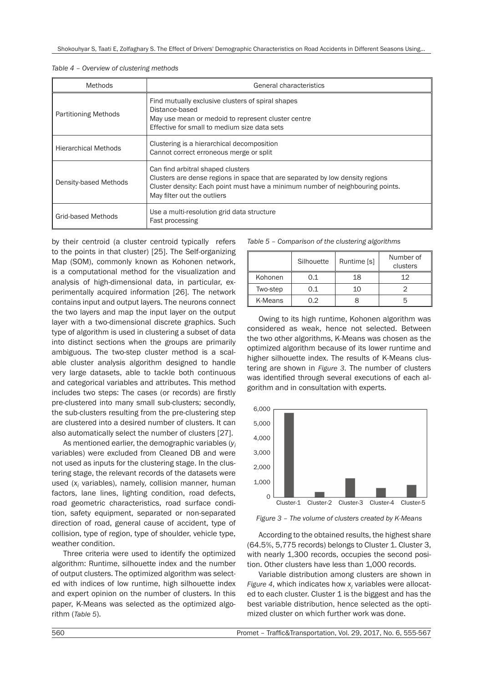| Methods                                                                                                                                                                                                  | General characteristics                                                                                                                                                                                                             |  |
|----------------------------------------------------------------------------------------------------------------------------------------------------------------------------------------------------------|-------------------------------------------------------------------------------------------------------------------------------------------------------------------------------------------------------------------------------------|--|
| Find mutually exclusive clusters of spiral shapes<br>Distance-based<br><b>Partitioning Methods</b><br>May use mean or medoid to represent cluster centre<br>Effective for small to medium size data sets |                                                                                                                                                                                                                                     |  |
| <b>Hierarchical Methods</b>                                                                                                                                                                              | Clustering is a hierarchical decomposition<br>Cannot correct erroneous merge or split                                                                                                                                               |  |
| Density-based Methods                                                                                                                                                                                    | Can find arbitral shaped clusters<br>Clusters are dense regions in space that are separated by low density regions<br>Cluster density: Each point must have a minimum number of neighbouring points.<br>May filter out the outliers |  |
| <b>Grid-based Methods</b>                                                                                                                                                                                | Use a multi-resolution grid data structure<br>Fast processing                                                                                                                                                                       |  |

by their centroid (a cluster centroid typically refers to the points in that cluster) [25]. The Self-organizing Map (SOM), commonly known as Kohonen network, is a computational method for the visualization and analysis of high-dimensional data, in particular, experimentally acquired information [26]. The network contains input and output layers. The neurons connect the two layers and map the input layer on the output layer with a two-dimensional discrete graphics. Such type of algorithm is used in clustering a subset of data into distinct sections when the groups are primarily ambiguous. The two-step cluster method is a scalable cluster analysis algorithm designed to handle very large datasets, able to tackle both continuous and categorical variables and attributes. This method includes two steps: The cases (or records) are firstly pre-clustered into many small sub-clusters; secondly, the sub-clusters resulting from the pre-clustering step are clustered into a desired number of clusters. It can also automatically select the number of clusters [27].

As mentioned earlier, the demographic variables (*yi* variables) were excluded from Cleaned DB and were not used as inputs for the clustering stage. In the clustering stage, the relevant records of the datasets were used (x<sub>i</sub> variables), namely, collision manner, human factors, lane lines, lighting condition, road defects, road geometric characteristics, road surface condition, safety equipment, separated or non-separated direction of road, general cause of accident, type of collision, type of region, type of shoulder, vehicle type, weather condition.

Three criteria were used to identify the optimized algorithm: Runtime, silhouette index and the number of output clusters. The optimized algorithm was selected with indices of low runtime, high silhouette index and expert opinion on the number of clusters. In this paper, K-Means was selected as the optimized algorithm (*Table 5*).

*Table 5 – Comparison of the clustering algorithms*

|          | Silhouette | Runtime [s] | Number of<br>clusters |
|----------|------------|-------------|-----------------------|
| Kohonen  | 0.1        | 18          | 12                    |
| Two-step | 0.1        | 10          |                       |
| K-Means  | በ 2        |             |                       |

Owing to its high runtime, Kohonen algorithm was considered as weak, hence not selected. Between the two other algorithms, K-Means was chosen as the optimized algorithm because of its lower runtime and higher silhouette index. The results of K-Means clustering are shown in *Figure 3*. The number of clusters was identifed through several executions of each algorithm and in consultation with experts.



*Figure 3 – The volume of clusters created by K-Means* 

According to the obtained results, the highest share (64.5%, 5,775 records) belongs to Cluster 1. Cluster 3, with nearly 1,300 records, occupies the second position. Other clusters have less than 1,000 records.

Variable distribution among clusters are shown in *Figure 4*, which indicates how  $x_i$  variables were allocated to each cluster. Cluster 1 is the biggest and has the best variable distribution, hence selected as the optimized cluster on which further work was done.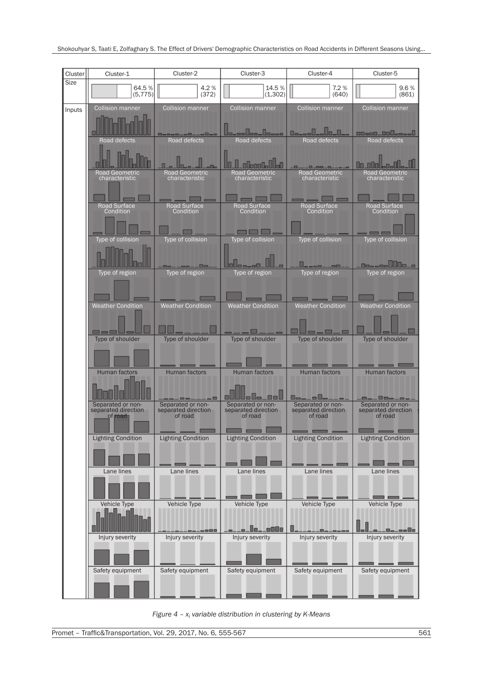| Cluster | Cluster-1                                          | Cluster-2                                           | Cluster-3                                                | Cluster-4                                                                 | Cluster-5                                               |
|---------|----------------------------------------------------|-----------------------------------------------------|----------------------------------------------------------|---------------------------------------------------------------------------|---------------------------------------------------------|
| Size    | 64.5%<br>(5.775)                                   | 4.2%<br>(372)                                       | 14.5 %<br>(1,302)                                        | 7.2 %<br>(640)                                                            | 9.6%<br>(861)                                           |
| Inputs  | <b>Collision manner</b><br>Road defects            | <b>Collision manner</b><br>-0-0<br>Road defects     | <b>Collision manner</b><br>----Loo-Lo---<br>Road defects | <b>Collision manner</b><br>$\Box$ o-oo $\Box$ -<br>10. LL<br>Road defects | <b>Collision manner</b><br>00.00_000.00<br>Road defects |
|         | Road Geometric<br>characteristic                   | Road Geometric<br>characteristic                    | Road Geometric<br>characteristic                         | $0 - 0 - 0 - -$<br><b>Road Geometric</b><br>characteristic                | lin niini<br><b>Road Geometric</b><br>characteristic    |
|         | <b>Road Surface</b><br>Condition                   | Road Surface<br>Condition                           | <b>Road Surface</b><br>Condition                         | <b>Road Surface</b><br>Condition                                          | <b>Road Surface</b><br>Condition                        |
|         | Type of collision                                  | Type of collision                                   | Type of collision                                        | Type of collision                                                         | Type of collision                                       |
|         | Type of region                                     | 00__00_<br>-08<br>Type of region                    | 100-00<br>Type of region                                 | $--00---00---$<br>Type of region                                          | .000 - 00 UUO - 0<br>Type of region                     |
|         | <b>Weather Condition</b>                           | <b>Weather Condition</b>                            | <b>Weather Condition</b>                                 | <b>Weather Condition</b><br>--                                            | <b>Weather Condition</b>                                |
|         | $\Box$ $\Box$<br>Type of shoulder                  | Type of shoulder                                    | Type of shoulder                                         | Type of shoulder                                                          | Type of shoulder                                        |
|         | <b>Human factors</b>                               | <b>Human factors</b><br>--                          | <b>Human factors</b>                                     | <b>Human factors</b><br><u> 184. o U</u>                                  | <b>Human factors</b><br>.c__0c__c_                      |
|         | Separated or non-<br>separated direction<br>ofroad | Separated or non-<br>separated direction<br>of road | Separated or non-<br>separated direction<br>of road      | Separated or non-<br>separated direction<br>of road                       | Separated or non-<br>separated direction<br>of road     |
|         | <b>Lighting Condition</b>                          | <b>Lighting Condition</b>                           | <b>Lighting Condition</b>                                | Lighting Condition                                                        | <b>Lighting Condition</b>                               |
|         | Lane lines                                         | Lane lines                                          | Lane lines                                               | Lane lines                                                                | Lane lines                                              |
|         | Vehicle Type                                       | Vehicle Type<br><b>.000</b>                         | Vehicle Type<br><u>. Oo__oOOo</u>                        | Vehicle Type                                                              | Vehicle Type<br>8---- <b>0</b> 0                        |
|         | Injury severity                                    | Injury severity                                     | Injury severity                                          | Injury severity                                                           | Injury severity                                         |
|         | Safety equipment                                   | Safety equipment                                    | Safety equipment                                         | Safety equipment                                                          | Safety equipment                                        |

*Figure 4 – x<sup>i</sup> variable distribution in clustering by K-Means*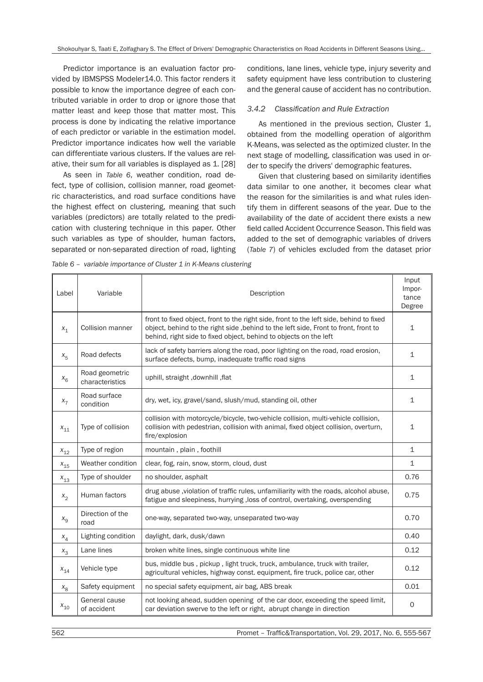Predictor importance is an evaluation factor provided by IBMSPSS Modeler14.0. This factor renders it possible to know the importance degree of each contributed variable in order to drop or ignore those that matter least and keep those that matter most. This process is done by indicating the relative importance of each predictor or variable in the estimation model. Predictor importance indicates how well the variable can differentiate various clusters. If the values are relative, their sum for all variables is displayed as 1. [28]

As seen in *Table 6*, weather condition, road defect, type of collision, collision manner, road geometric characteristics, and road surface conditions have the highest effect on clustering, meaning that such variables (predictors) are totally related to the predication with clustering technique in this paper. Other such variables as type of shoulder, human factors, separated or non-separated direction of road, lighting conditions, lane lines, vehicle type, injury severity and safety equipment have less contribution to clustering and the general cause of accident has no contribution.

#### *3.4.2 Classifcation and Rule Extraction*

As mentioned in the previous section, Cluster 1, obtained from the modelling operation of algorithm K-Means, was selected as the optimized cluster. In the next stage of modelling, classification was used in order to specify the drivers' demographic features.

Given that clustering based on similarity identifes data similar to one another, it becomes clear what the reason for the similarities is and what rules identify them in different seasons of the year. Due to the availability of the date of accident there exists a new feld called Accident Occurrence Season. This feld was added to the set of demographic variables of drivers (*Table 7*) of vehicles excluded from the dataset prior

| Label        | Variable                          | Description                                                                                                                                                                                                                                         | Input<br>Impor-<br>tance<br>Degree |
|--------------|-----------------------------------|-----------------------------------------------------------------------------------------------------------------------------------------------------------------------------------------------------------------------------------------------------|------------------------------------|
| $x_1$        | <b>Collision manner</b>           | front to fixed object, front to the right side, front to the left side, behind to fixed<br>object, behind to the right side, behind to the left side, Front to front, front to<br>behind, right side to fixed object, behind to objects on the left |                                    |
| $X_{5}$      | Road defects                      | lack of safety barriers along the road, poor lighting on the road, road erosion,<br>surface defects, bump, inadequate traffic road signs                                                                                                            | $\mathbf{1}$                       |
| $x_6$        | Road geometric<br>characteristics | uphill, straight, downhill, flat                                                                                                                                                                                                                    | $\mathbf{1}$                       |
| $X_7$        | Road surface<br>condition         | dry, wet, icy, gravel/sand, slush/mud, standing oil, other                                                                                                                                                                                          | $\mathbf{1}$                       |
| $x_{11}$     | Type of collision                 | collision with motorcycle/bicycle, two-vehicle collision, multi-vehicle collision,<br>collision with pedestrian, collision with animal, fixed object collision, overturn,<br>fire/explosion                                                         | $\mathbf{1}$                       |
| $x_{12}$     | Type of region                    | mountain, plain, foothill                                                                                                                                                                                                                           | $\mathbf{1}$                       |
| $x_{15}$     | Weather condition                 | clear, fog, rain, snow, storm, cloud, dust                                                                                                                                                                                                          | $\mathbf{1}$                       |
| $x_{13}$     | Type of shoulder                  | no shoulder, asphalt                                                                                                                                                                                                                                | 0.76                               |
| $x_{2}$      | Human factors                     | drug abuse, violation of traffic rules, unfamiliarity with the roads, alcohol abuse,<br>fatigue and sleepiness, hurrying , loss of control, overtaking, overspending                                                                                | 0.75                               |
| $X_{9}$      | Direction of the<br>road          | one-way, separated two-way, unseparated two-way                                                                                                                                                                                                     | 0.70                               |
| $X_4$        | Lighting condition                | daylight, dark, dusk/dawn                                                                                                                                                                                                                           | 0.40                               |
| $X_3$        | Lane lines                        | broken white lines, single continuous white line                                                                                                                                                                                                    | 0.12                               |
| $x_{14}$     | Vehicle type                      | bus, middle bus, pickup, light truck, truck, ambulance, truck with trailer,<br>agricultural vehicles, highway const. equipment, fire truck, police car, other                                                                                       | 0.12                               |
| $X_{8}$      | Safety equipment                  | no special safety equipment, air bag, ABS break                                                                                                                                                                                                     | 0.01                               |
| $x_{\rm 10}$ | General cause<br>of accident      | not looking ahead, sudden opening of the car door, exceeding the speed limit,<br>car deviation swerve to the left or right, abrupt change in direction                                                                                              | $\Omega$                           |

*Table 6 – variable importance of Cluster 1 in K-Means clustering*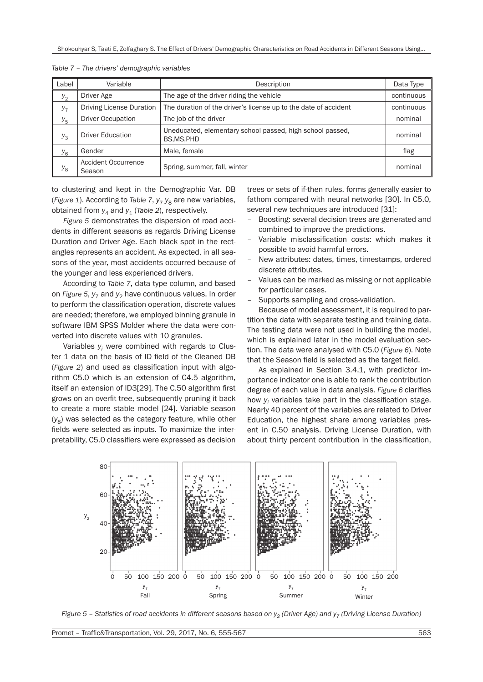| Label        | Variable                             | Description                                                            | Data Type  |
|--------------|--------------------------------------|------------------------------------------------------------------------|------------|
| $y_2$        | Driver Age                           | The age of the driver riding the vehicle                               | continuous |
| $y_7$        | <b>Driving License Duration</b>      | The duration of the driver's license up to the date of accident        | continuous |
| $y_{5}$      | <b>Driver Occupation</b>             | The job of the driver                                                  | nominal    |
| $y_3$        | <b>Driver Education</b>              | Uneducated, elementary school passed, high school passed,<br>BS.MS.PHD | nominal    |
| $y_{\kappa}$ | Gender                               | Male, female                                                           | flag       |
| $y_{8}$      | <b>Accident Occurrence</b><br>Season | Spring, summer, fall, winter                                           | nominal    |

*Table 7 – The drivers' demographic variables*

to clustering and kept in the Demographic Var. DB (*Figure 1*). According to *Table 7*,  $y_7 y_8$  are new variables, obtained from  $y_4$  and  $y_1$  (*Table 2*), respectively.

*Figure 5* demonstrates the dispersion of road accidents in different seasons as regards Driving License Duration and Driver Age. Each black spot in the rectangles represents an accident. As expected, in all seasons of the year, most accidents occurred because of the younger and less experienced drivers.

According to *Table 7*, data type column, and based on *Figure 5*,  $y_7$  and  $y_2$  have continuous values. In order to perform the classifcation operation, discrete values are needed; therefore, we employed binning granule in software IBM SPSS Molder where the data were converted into discrete values with 10 granules.

Variables *yi* were combined with regards to Cluster 1 data on the basis of ID feld of the Cleaned DB (*Figure 2*) and used as classifcation input with algorithm C5.0 which is an extension of C4.5 algorithm, itself an extension of ID3[29]. The C.50 algorithm first grows on an overft tree, subsequently pruning it back to create a more stable model [24]. Variable season (y<sub>8</sub>) was selected as the category feature, while other felds were selected as inputs. To maximize the interpretability, C5.0 classifers were expressed as decision

trees or sets of if-then rules, forms generally easier to fathom compared with neural networks [30]. In C5.0, several new techniques are introduced [31]:

- Boosting: several decision trees are generated and combined to improve the predictions.
- Variable misclassifcation costs: which makes it possible to avoid harmful errors.
- New attributes: dates, times, timestamps, ordered discrete attributes.
- Values can be marked as missing or not applicable for particular cases.
- Supports sampling and cross-validation.

Because of model assessment, it is required to partition the data with separate testing and training data. The testing data were not used in building the model, which is explained later in the model evaluation section. The data were analysed with C5.0 (*Figure 6*). Note that the Season field is selected as the target field.

As explained in Section 3.4.1, with predictor importance indicator one is able to rank the contribution degree of each value in data analysis. *Figure 6* clarifes how *yi* variables take part in the classifcation stage. Nearly 40 percent of the variables are related to Driver Education, the highest share among variables present in C.50 analysis. Driving License Duration, with about thirty percent contribution in the classifcation,



*Figure 5 – Statistics of road accidents in different seasons based on y2 (Driver Age) and y7 (Driving License Duration)*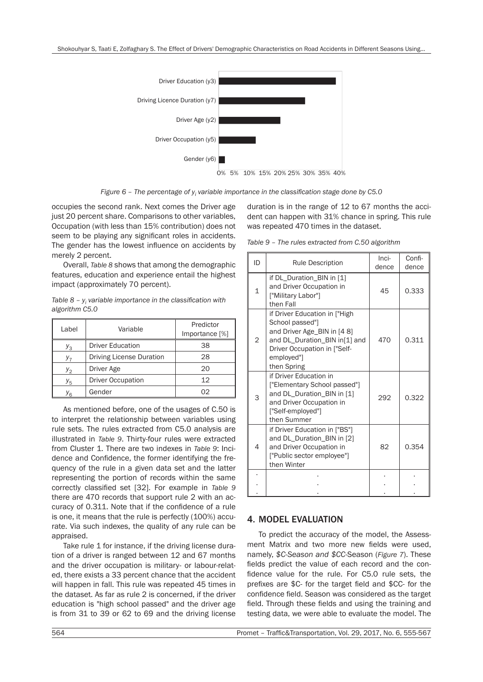

Figure 6 - The percentage of y<sub>i</sub> variable importance in the classification stage done by C5.0

occupies the second rank. Next comes the Driver age just 20 percent share. Comparisons to other variables, Occupation (with less than 15% contribution) does not seem to be playing any significant roles in accidents. The gender has the lowest infuence on accidents by merely 2 percent.

Overall, *Table 8* shows that among the demographic features, education and experience entail the highest impact (approximately 70 percent).

*Table 8 – yi variable importance in the classifcation with algorithm C5.0*

| Label          | Variable                        | Predictor<br>Importance [%] |
|----------------|---------------------------------|-----------------------------|
| $y_3$          | <b>Driver Education</b>         | 38                          |
| y <sub>7</sub> | <b>Driving License Duration</b> | 28                          |
| $y_{2}$        | Driver Age                      | 20                          |
| У5             | <b>Driver Occupation</b>        | 12                          |
| $v_6$          | Gender                          |                             |

As mentioned before, one of the usages of C.50 is to interpret the relationship between variables using rule sets. The rules extracted from C5.0 analysis are illustrated in *Table 9*. Thirty-four rules were extracted from Cluster 1. There are two indexes in *Table 9*: Incidence and Confdence, the former identifying the frequency of the rule in a given data set and the latter representing the portion of records within the same correctly classifed set [32]. For example in *Table 9* there are 470 records that support rule 2 with an accuracy of 0.311. Note that if the confidence of a rule is one, it means that the rule is perfectly (100%) accurate. Via such indexes, the quality of any rule can be appraised.

Take rule 1 for instance, if the driving license duration of a driver is ranged between 12 and 67 months and the driver occupation is military- or labour-related, there exists a 33 percent chance that the accident will happen in fall. This rule was repeated 45 times in the dataset. As far as rule 2 is concerned, if the driver education is "high school passed" and the driver age is from 31 to 39 or 62 to 69 and the driving license duration is in the range of 12 to 67 months the accident can happen with 31% chance in spring. This rule was repeated 470 times in the dataset.

|  | Table 9 - The rules extracted from C.50 algorithm |  |
|--|---------------------------------------------------|--|
|  |                                                   |  |

| ID             | <b>Rule Description</b>                                                                                                                                                       | Inci-<br>dence | Confi-<br>dence |
|----------------|-------------------------------------------------------------------------------------------------------------------------------------------------------------------------------|----------------|-----------------|
| 1              | if DL Duration BIN in [1]<br>and Driver Occupation in<br>["Military Labor"]<br>then Fall                                                                                      | 45             | 0.333           |
| $\overline{2}$ | if Driver Education in ["High<br>School passed"]<br>and Driver Age_BIN in [4 8]<br>and DL Duration BIN in[1] and<br>Driver Occupation in ["Self-<br>employed"]<br>then Spring | 470            | 0.311           |
| 3              | if Driver Education in<br>["Elementary School passed"]<br>and DL_Duration_BIN in [1]<br>and Driver Occupation in<br>["Self-employed"]<br>then Summer                          | 292            | 0.322           |
| 4              | if Driver Education in ["BS"]<br>and DL_Duration_BIN in [2]<br>and Driver Occupation in<br>["Public sector employee"]<br>then Winter                                          | 82             | 0.354           |
|                |                                                                                                                                                                               |                |                 |

## 4. MODEL EVALUATION

To predict the accuracy of the model, the Assessment Matrix and two more new fields were used, namely, *\$C-Season and \$CC-*Season (*Figure 7*). These felds predict the value of each record and the confdence value for the rule. For C5.0 rule sets, the prefixes are \$C- for the target field and \$CC- for the confdence feld. Season was considered as the target feld. Through these felds and using the training and testing data, we were able to evaluate the model. The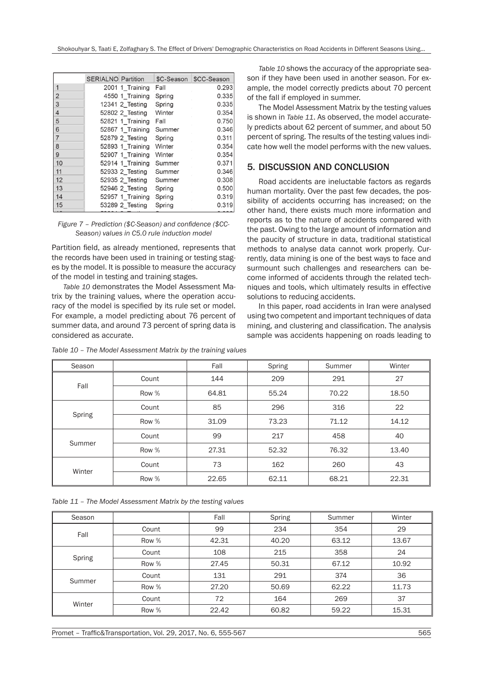|                | <b>SERIALNO Partition</b> |                  | \$C-Season | \$CC-Season |
|----------------|---------------------------|------------------|------------|-------------|
| 1              |                           | 2001 1 Training  | Fall       | 0.293       |
| $\overline{2}$ |                           | 4550 1 Training  | Spring     | 0.335       |
| 3              |                           | 12341 2 Testing  | Spring     | 0.335       |
| $\overline{4}$ |                           | 52802 2 Testing  | Winter     | 0.354       |
| 5              |                           | 52821 1 Training | Fall       | 0.750       |
| 6              |                           | 52867 1 Training | Summer     | 0.346       |
| 7              |                           | 52879 2 Testing  | Spring     | 0.311       |
| 8              |                           | 52893 1_Training | Winter     | 0.354       |
| 9              |                           | 52907 1 Training | Winter     | 0.354       |
| 10             |                           | 52914 1 Training | Summer     | 0.371       |
| 11             |                           | 52933 2 Testing  | Summer     | 0.346       |
| 12             |                           | 52935 2 Testing  | Summer     | 0.308       |
| 13             |                           | 52946 2 Testing  | Spring     | 0.500       |
| 14             |                           | 52957 1 Training | Spring     | 0.319       |
| 15             |                           | 53289 2 Testing  | Spring     | 0.319       |

*Figure 7 – Prediction (\$C-Season) and confdence (\$CC-Season) values in C5.0 rule induction model*

Partition field, as already mentioned, represents that the records have been used in training or testing stages by the model. It is possible to measure the accuracy of the model in testing and training stages.

*Table 10* demonstrates the Model Assessment Matrix by the training values, where the operation accuracy of the model is specifed by its rule set or model. For example, a model predicting about 76 percent of summer data, and around 73 percent of spring data is considered as accurate.

*Table 10* shows the accuracy of the appropriate season if they have been used in another season. For example, the model correctly predicts about 70 percent of the fall if employed in summer.

The Model Assessment Matrix by the testing values is shown in *Table 11*. As observed, the model accurately predicts about 62 percent of summer, and about 50 percent of spring. The results of the testing values indicate how well the model performs with the new values.

## 5. DISCUSSION AND CONCLUSION

Road accidents are ineluctable factors as regards human mortality. Over the past few decades, the possibility of accidents occurring has increased; on the other hand, there exists much more information and reports as to the nature of accidents compared with the past. Owing to the large amount of information and the paucity of structure in data, traditional statistical methods to analyse data cannot work properly. Currently, data mining is one of the best ways to face and surmount such challenges and researchers can become informed of accidents through the related techniques and tools, which ultimately results in effective solutions to reducing accidents.

In this paper, road accidents in Iran were analysed using two competent and important techniques of data mining, and clustering and classifcation. The analysis sample was accidents happening on roads leading to

| Season |       | Fall  | Spring | Summer | Winter |
|--------|-------|-------|--------|--------|--------|
| Fall   | Count | 144   | 209    | 291    | 27     |
|        | Row % | 64.81 | 55.24  | 70.22  | 18.50  |
| Spring | Count | 85    | 296    | 316    | 22     |
|        | Row % | 31.09 | 73.23  | 71.12  | 14.12  |
| Summer | Count | 99    | 217    | 458    | 40     |
|        | Row % | 27.31 | 52.32  | 76.32  | 13.40  |
| Winter | Count | 73    | 162    | 260    | 43     |
|        | Row % | 22.65 | 62.11  | 68.21  | 22.31  |

*Table 10 – The Model Assessment Matrix by the training values*

|  |  |  |  |  | Table 11 - The Model Assessment Matrix by the testing values |
|--|--|--|--|--|--------------------------------------------------------------|
|--|--|--|--|--|--------------------------------------------------------------|

| Season |       | Fall  | Spring | Summer | Winter |
|--------|-------|-------|--------|--------|--------|
| Fall   | Count | 99    | 234    | 354    | 29     |
|        | Row % | 42.31 | 40.20  | 63.12  | 13.67  |
| Spring | Count | 108   | 215    | 358    | 24     |
|        | Row % | 27.45 | 50.31  | 67.12  | 10.92  |
| Summer | Count | 131   | 291    | 374    | 36     |
|        | Row % | 27.20 | 50.69  | 62.22  | 11.73  |
| Winter | Count | 72    | 164    | 269    | 37     |
|        | Row % | 22.42 | 60.82  | 59.22  | 15.31  |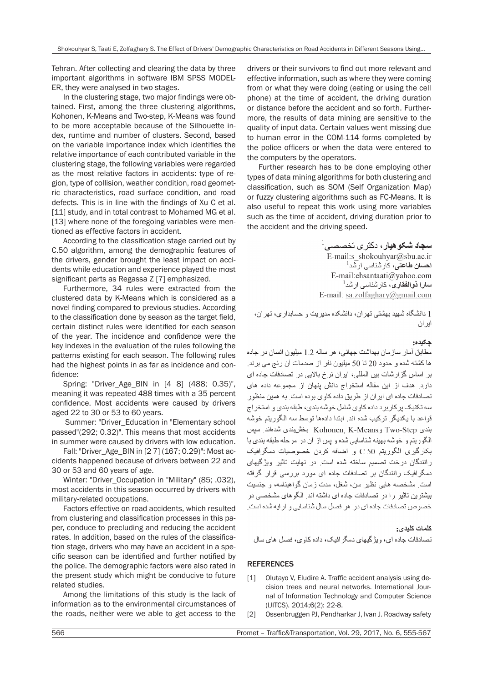Tehran. After collecting and clearing the data by three important algorithms in software IBM SPSS MODEL-ER, they were analysed in two stages.

In the clustering stage, two major findings were obtained. First, among the three clustering algorithms, Kohonen, K-Means and Two-step, K-Means was found to be more acceptable because of the Silhouette index, runtime and number of clusters. Second, based on the variable importance index which identifes the relative importance of each contributed variable in the clustering stage, the following variables were regarded as the most relative factors in accidents: type of region, type of collision, weather condition, road geometric characteristics, road surface condition, and road defects. This is in line with the fndings of Xu C et al. [11] study, and in total contrast to Mohamed MG et al. [13] where none of the foregoing variables were mentioned as effective factors in accident.

According to the classifcation stage carried out by C.50 algorithm, among the demographic features of the drivers, gender brought the least impact on accidents while education and experience played the most signifcant parts as Regassa Z [7] emphasized.

Furthermore, 34 rules were extracted from the clustered data by K-Means which is considered as a novel fnding compared to previous studies. According to the classifcation done by season as the target feld, certain distinct rules were identifed for each season of the year. The incidence and confdence were the key indexes in the evaluation of the rules following the patterns existing for each season. The following rules had the highest points in as far as incidence and confidence:

Spring: "Driver\_Age\_BIN in [4 8] (488; 0.35)", meaning it was repeated 488 times with a 35 percent confidence. Most accidents were caused by drivers aged 22 to 30 or 53 to 60 years.

 Summer: "Driver\_Education in "Elementary school passed"(292; 0.32)". This means that most accidents in summer were caused by drivers with low education.

Fall: "Driver\_Age\_BIN in [2 7] (167; 0.29)": Most accidents happened because of drivers between 22 and 30 or 53 and 60 years of age.

Winter: "Driver Occupation in "Military" (85: .032), most accidents in this season occurred by drivers with military-related occupations.

Factors effective on road accidents, which resulted from clustering and classifcation processes in this paper, conduce to precluding and reducing the accident rates. In addition, based on the rules of the classification stage, drivers who may have an accident in a specifc season can be identifed and further notifed by the police. The demographic factors were also rated in the present study which might be conducive to future related studies.

Among the limitations of this study is the lack of information as to the environmental circumstances of the roads, neither were we able to get access to the

drivers or their survivors to fnd out more relevant and effective information, such as where they were coming from or what they were doing (eating or using the cell phone) at the time of accident, the driving duration or distance before the accident and so forth. Furthermore, the results of data mining are sensitive to the quality of input data. Certain values went missing due to human error in the COM-114 forms completed by the police officers or when the data were entered to the computers by the operators.

Further research has to be done employing other types of data mining algorithms for both clustering and classifcation, such as SOM (Self Organization Map) or fuzzy clustering algorithms such as FC-Means. It is also useful to repeat this work using more variables such as the time of accident, driving duration prior to the accident and the driving speed.

> $^{-1}$ سجاد شکو هیار ، دکتر ی تخصصی E-mail:s\_shokouhyar@sbu.ac.ir<br>ا**حسان طاعتی،** کارشناسی ارشد<sup>1</sup> E-mail:ehsantaati@vahoo.com **سارا ذوالفقاری،** کار شناسی ار شد<sup>ا</sup> E-mail: sa.zolfaghary@gmail.com

1 دانشگاه شهید بهشتی تهران، دانشکده مدیریت و حسابدار ی، تهران، اير ان

#### جكيده:

مطابق آمار ساز مان بهداشت جهانی، هر ساله 1.2 میلیون انسان در جاده ها كشته شده و حدود 20 تا 50 ميليون نفر از صدمات آن رنج مي برند. بر اساس گزارشات بین المللی، ایران نرخ بالایی در تصادفات جاده ای دارد. هدف از این مقاله استخراج دانش بنهان از مجموعه داده های تصادفات جاده ای ایر ان از طریق داده کاوی بوده است. به همین منظور سه تکنیک بر کار بر د داده کاوی شامل خو شه بندی، طبقه بندی و استخر اج قواعد با يكديگر تركيب شده اند. ابتدا دادهها توسط سه الگوريتم خوشه بندى Two-Step وKohonen, K-Means بخشبندى شدهاند. سيس الگوريتم و خوشه بهينه شناسايي شده و پس از آن در مرحله طبقه بندي با بكاركيري الكوريتم C.50 و اضافه كردن خصوصيات دمگرافيك رانندگان درخت تصمیم ساخته شده است. در نهایت تاثیر ویژگیهای دمگرافیک رانندگان بر تصادفات جاده ای مورد بررسی قرار گرفته است. مشخصیه هایی نظیر اسن، شغل، مدت ز مان گواهینامه، و جنسیت بیشتر بن تاثیر ۱٫ در تصادفات جاده ای داشته اند. الگو های مشخصبی در خصوص تصادفات جاده ای در هر فصل سال شناسایی و ار ایه شده است.

## كلمات كليدي:

تصادفات جاده اي، ويژگيهاي دمگر افيک، داده کاوي، فصل هاي سال

#### **REFERENCES**

- [1] Olutayo V, Eludire A, Traffic accident analysis using decision trees and neural networks. International Journal of Information Technology and Computer Science (IJITCS). 2014;6(2): 22-8.
- [2] Ossenbruggen PJ, Pendharkar J, Ivan J. Roadway safety